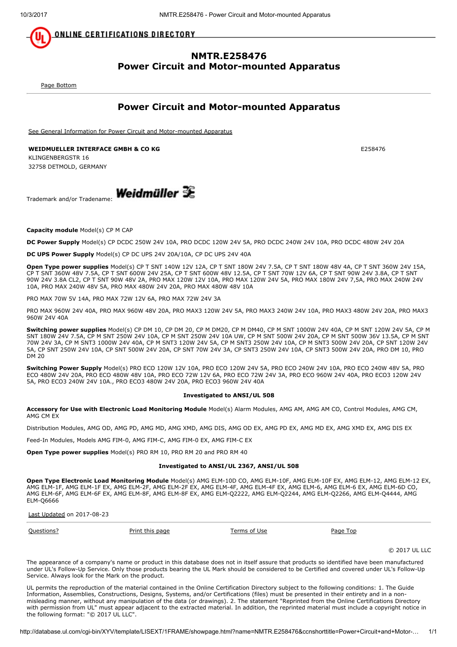<u>ONLINE CERTIFICATIONS DIRECTORY</u>

## NMTR.E258476 Power Circuit and Motor-mounted Apparatus

<span id="page-0-1"></span>[Page Bottom](#page-0-0)

## Power Circuit and Motor-mounted Apparatus

[See General Information for Power Circuit and Motor-mounted Apparatus](http://database.ul.com/cgi-bin/XYV/template/LISEXT/1FRAME/showpage.html?&name=NMTR.GuideInfo&ccnshorttitle=Power+Circuit+and+Motor-mounted+Apparatus&objid=1074108450&cfgid=1073741824&version=versionless&parent_id=1073990288&sequence=1)

WEIDMUELLER INTERFACE GMBH & CO KG E258476 KLINGENBERGSTR 16

32758 DETMOLD, GERMANY

 $T_{\text{rademark and/or Tradename}}$  **Weidmüller**  $\mathbb{R}$ 

Capacity module Model(s) CP M CAP

DC Power Supply Model(s) CP DCDC 250W 24V 10A, PRO DCDC 120W 24V 5A, PRO DCDC 240W 24V 10A, PRO DCDC 480W 24V 20A

DC UPS Power Supply Model(s) CP DC UPS 24V 20A/10A, CP DC UPS 24V 40A

Open Type power supplies Model(s) CP T SNT 140W 12V 12A, CP T SNT 180W 24V 7.5A, CP T SNT 180W 48V 4A, CP T SNT 360W 24V 15A, CP T SNT 360W 48V 7.5A, CP T SNT 600W 24V 25A, CP T SNT 600W 48V 12.5A, CP T SNT 70W 12V 6A, CP T SNT 90W 24V 3.8A, CP T SNT 90W 24V 3.8A CL2, CP T SNT 90W 48V 2A, PRO MAX 120W 12V 10A, PRO MAX 120W 24V 5A, PRO MAX 180W 24V 7,5A, PRO MAX 240W 24V 10A, PRO MAX 240W 48V 5A, PRO MAX 480W 24V 20A, PRO MAX 480W 48V 10A

PRO MAX 70W 5V 14A, PRO MAX 72W 12V 6A, PRO MAX 72W 24V 3A

PRO MAX 960W 24V 40A, PRO MAX 960W 48V 20A, PRO MAX3 120W 24V 5A, PRO MAX3 240W 24V 10A, PRO MAX3 480W 24V 20A, PRO MAX3 960W 24V 40A

Switching power supplies Model(s) CP DM 10, CP DM 20, CP M DM20, CP M DM40, CP M SNT 1000W 24V 40A, CP M SNT 120W 24V 5A, CP M SNT 180W 24V 7.5A, CP M SNT 250W 24V 10A, CP M SNT 250W 24V 10A UW, CP M SNT 500W 24V 20A, CP M SNT 500W 36V 13.5A, CP M SNT 70W 24V 3A, CP M SNT3 1000W 24V 40A, CP M SNT3 120W 24V 5A, CP M SNT3 250W 24V 10A, CP M SNT3 500W 24V 20A, CP SNT 120W 24V 5A, CP SNT 250W 24V 10A, CP SNT 500W 24V 20A, CP SNT 70W 24V 3A, CP SNT3 250W 24V 10A, CP SNT3 500W 24V 20A, PRO DM 10, PRO DM 20

Switching Power Supply Model(s) PRO ECO 120W 12V 10A, PRO ECO 120W 24V 5A, PRO ECO 240W 24V 10A, PRO ECO 240W 48V 5A, PRO ECO 480W 24V 20A, PRO ECO 480W 48V 10A, PRO ECO 72W 12V 6A, PRO ECO 72W 24V 3A, PRO ECO 960W 24V 40A, PRO ECO3 120W 24V 5A, PRO ECO3 240W 24V 10A., PRO ECO3 480W 24V 20A, PRO ECO3 960W 24V 40A

### Investigated to ANSI/UL 508

Accessory for Use with Electronic Load Monitoring Module Model(s) Alarm Modules, AMG AM, AMG AM CO, Control Modules, AMG CM, AMG CM EX

Distribution Modules, AMG OD, AMG PD, AMG MD, AMG XMD, AMG DIS, AMG OD EX, AMG PD EX, AMG MD EX, AMG XMD EX, AMG DIS EX

Feed-In Modules, Models AMG FIM-0, AMG FIM-C, AMG FIM-0 EX, AMG FIM-C EX

Open Type power supplies Model(s) PRO RM 10, PRO RM 20 and PRO RM 40

### Investigated to ANSI/UL 2367, ANSI/UL 508

Open Type Electronic Load Monitoring Module Model(s) AMG ELM-10D CO, AMG ELM-10F, AMG ELM-10F EX, AMG ELM-12, AMG ELM-12 EX, AMG ELM-1F, AMG ELM-1F EX, AMG ELM-2F, AMG ELM-2F EX, AMG ELM-4F, AMG ELM-4F EX, AMG ELM-6, AMG ELM-6 EX, AMG ELM-6D CO, AMG ELM-6F, AMG ELM-6F EX, AMG ELM-8F, AMG ELM-8F EX, AMG ELM-Q2222, AMG ELM-Q2244, AMG ELM-Q2266, AMG ELM-Q4444, AMG ELM-Q6666

[Last Updated](javascript:openit() on 2017-08-23

| Ouestions? |  |
|------------|--|
|            |  |

[Print this page](javascript:window.print()) [Terms of Use](http://database.ul.com/cgi-bin/XYV/template/LISEXT/1FRAME/terms_of_use.html) [Page Top](#page-0-1) Page Top

<span id="page-0-0"></span>

© 2017 UL LLC

The appearance of a company's name or product in this database does not in itself assure that products so identified have been manufactured under UL's Follow-Up Service. Only those products bearing the UL Mark should be considered to be Certified and covered under UL's Follow-Up Service. Always look for the Mark on the product.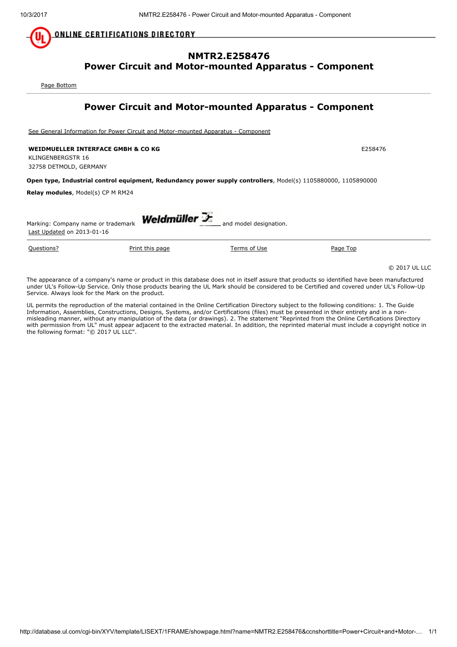<u>ONLINE CERTIFICATIONS DIRECTORY</u>

## NMTR2.E258476 Power Circuit and Motor-mounted Apparatus - Component

<span id="page-1-1"></span>[Page Bottom](#page-1-0)

## Power Circuit and Motor-mounted Apparatus - Component

[See General Information for Power Circuit and Motor-mounted Apparatus - Component](http://database.ul.com/cgi-bin/XYV/template/LISEXT/1FRAME/showpage.html?&name=NMTR2.GuideInfo&ccnshorttitle=Power+Circuit+and+Motor-mounted+Apparatus+-+Component&objid=1073762681&cfgid=1073741824&version=versionless&parent_id=1073762680&sequence=1)

WEIDMUELLER INTERFACE GMBH & CO KG E258476

KLINGENBERGSTR 16 32758 DETMOLD, GERMANY

### Open type, Industrial control equipment, Redundancy power supply controllers, Model(s) 1105880000, 1105890000

Relay modules, Model(s) CP M RM24

| Weldmüller $\mathcal F$<br>and model designation.<br>Marking: Company name or trademark<br>Last Updated on 2013-01-16 |                                                                                                                                             |              |          |               |  |  |
|-----------------------------------------------------------------------------------------------------------------------|---------------------------------------------------------------------------------------------------------------------------------------------|--------------|----------|---------------|--|--|
| Questions?                                                                                                            | Print this page                                                                                                                             | Terms of Use | Page Top |               |  |  |
|                                                                                                                       |                                                                                                                                             |              |          | © 2017 UL LLC |  |  |
|                                                                                                                       | The appearance of a company's name or product in this database does not in itself assure that products so identified have been manufactured |              |          |               |  |  |

under UL's Follow-Up Service. Only those products bearing the UL Mark should be considered to be Certified and covered under UL's Follow-Up Service. Always look for the Mark on the product.

<span id="page-1-0"></span>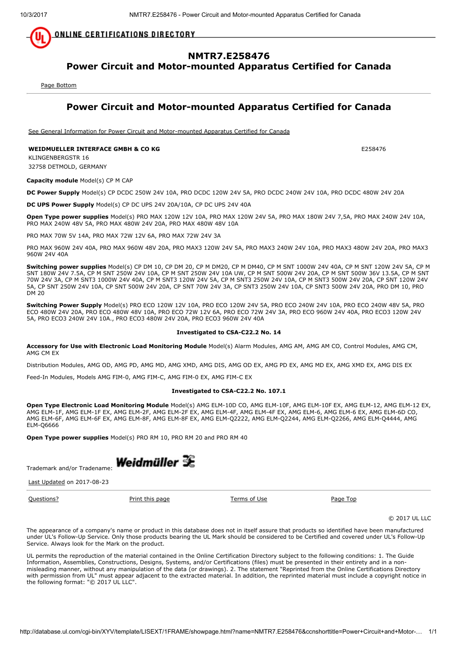**ONLINE CERTIFICATIONS DIRECTORY** 

# NMTR7.E258476

Power Circuit and Motor-mounted Apparatus Certified for Canada

<span id="page-2-1"></span>[Page Bottom](#page-2-0)

## Power Circuit and Motor-mounted Apparatus Certified for Canada

[See General Information for Power Circuit and Motor-mounted Apparatus Certified for Canada](http://database.ul.com/cgi-bin/XYV/template/LISEXT/1FRAME/showpage.html?&name=NMTR7.GuideInfo&ccnshorttitle=Power+Circuit+and+Motor-mounted+Apparatus+Certified+for+Canada&objid=1074194602&cfgid=1073741824&version=versionless&parent_id=1073990290&sequence=1)

### WEIDMUELLER INTERFACE GMBH & CO KG E258476

KLINGENBERGSTR 16 32758 DETMOLD, GERMANY

Capacity module Model(s) CP M CAP

DC Power Supply Model(s) CP DCDC 250W 24V 10A, PRO DCDC 120W 24V 5A, PRO DCDC 240W 24V 10A, PRO DCDC 480W 24V 20A

DC UPS Power Supply Model(s) CP DC UPS 24V 20A/10A, CP DC UPS 24V 40A

Open Type power supplies Model(s) PRO MAX 120W 12V 10A, PRO MAX 120W 24V 5A, PRO MAX 180W 24V 7,5A, PRO MAX 240W 24V 10A, PRO MAX 240W 48V 5A, PRO MAX 480W 24V 20A, PRO MAX 480W 48V 10A

PRO MAX 70W 5V 14A, PRO MAX 72W 12V 6A, PRO MAX 72W 24V 3A

PRO MAX 960W 24V 40A, PRO MAX 960W 48V 20A, PRO MAX3 120W 24V 5A, PRO MAX3 240W 24V 10A, PRO MAX3 480W 24V 20A, PRO MAX3 960W 24V 40A

Switching power supplies Model(s) CP DM 10, CP DM 20, CP M DM20, CP M DM40, CP M SNT 1000W 24V 40A, CP M SNT 120W 24V 5A, CP M SNT 180W 24V 7.5A, CP M SNT 250W 24V 10A, CP M SNT 250W 24V 10A UW, CP M SNT 500W 24V 20A, CP M SNT 500W 36V 13.5A, CP M SNT 70W 24V 3A, CP M SNT3 1000W 24V 40A, CP M SNT3 120W 24V 5A, CP M SNT3 250W 24V 10A, CP M SNT3 500W 24V 20A, CP SNT 120W 24V 5A, CP SNT 250W 24V 10A, CP SNT 500W 24V 20A, CP SNT 70W 24V 3A, CP SNT3 250W 24V 10A, CP SNT3 500W 24V 20A, PRO DM 10, PRO DM 20

Switching Power Supply Model(s) PRO ECO 120W 12V 10A, PRO ECO 120W 24V 5A, PRO ECO 240W 24V 10A, PRO ECO 240W 48V 5A, PRO ECO 480W 24V 20A, PRO ECO 480W 48V 10A, PRO ECO 72W 12V 6A, PRO ECO 72W 24V 3A, PRO ECO 960W 24V 40A, PRO ECO3 120W 24V 5A, PRO ECO3 240W 24V 10A., PRO ECO3 480W 24V 20A, PRO ECO3 960W 24V 40A

### Investigated to CSA-C22.2 No. 14

Accessory for Use with Electronic Load Monitoring Module Model(s) Alarm Modules, AMG AM, AMG AM CO, Control Modules, AMG CM, AMG CM EX

Distribution Modules, AMG OD, AMG PD, AMG MD, AMG XMD, AMG DIS, AMG OD EX, AMG PD EX, AMG MD EX, AMG XMD EX, AMG DIS EX

Feed-In Modules, Models AMG FIM-0, AMG FIM-C, AMG FIM-0 EX, AMG FIM-C EX

#### Investigated to CSA-C22.2 No. 107.1

Open Type Electronic Load Monitoring Module Model(s) AMG ELM-10D CO, AMG ELM-10F, AMG ELM-10F EX, AMG ELM-12, AMG ELM-12 EX, AMG ELM-1F, AMG ELM-1F EX, AMG ELM-2F, AMG ELM-2F EX, AMG ELM-4F, AMG ELM-4F EX, AMG ELM-6, AMG ELM-6 EX, AMG ELM-6D CO, AMG ELM-6F, AMG ELM-6F EX, AMG ELM-8F, AMG ELM-8F EX, AMG ELM-Q2222, AMG ELM-Q2244, AMG ELM-Q2266, AMG ELM-Q4444, AMG ELM-Q6666

Open Type power supplies Model(s) PRO RM 10, PRO RM 20 and PRO RM 40



[Last Updated](javascript:openit() on 2017-08-23

**[Questions?](http://database.ul.com/cgi-bin/XYV/template/LISEXT/1FRAME/gassist.html) [Print this page](javascript:window.print()) [Terms of Use](http://database.ul.com/cgi-bin/XYV/template/LISEXT/1FRAME/terms_of_use.html) [Page Top](#page-2-1)** Page Top

<span id="page-2-0"></span>

© 2017 UL LLC

The appearance of a company's name or product in this database does not in itself assure that products so identified have been manufactured under UL's Follow-Up Service. Only those products bearing the UL Mark should be considered to be Certified and covered under UL's Follow-Up Service. Always look for the Mark on the product.